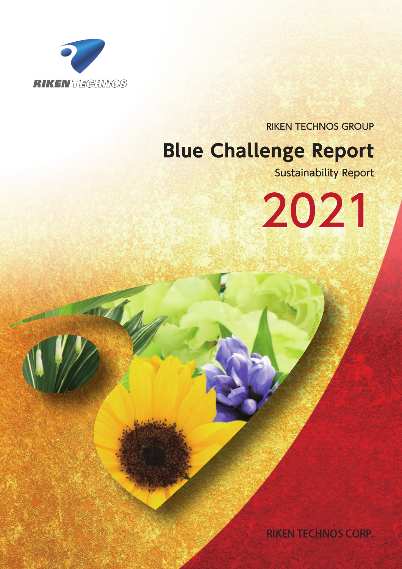

**SOFT** 

RIKEN TECHNOS GROUP

# **Blue Challenge Report**

Sustainability Report

2021

RIKEN TECHNOS CORP.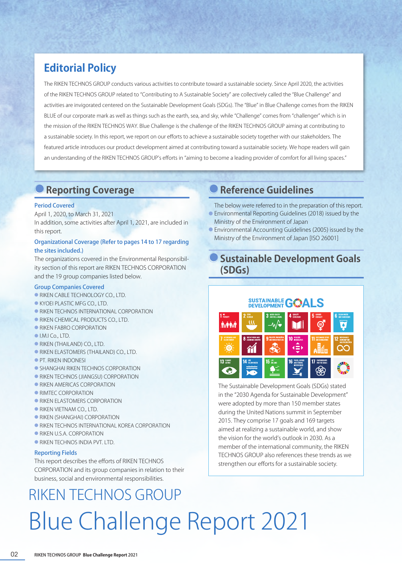# **Editorial Policy**

The RIKEN TECHNOS GROUP conducts various activities to contribute toward a sustainable society. Since April 2020, the activities of the RIKEN TECHNOS GROUP related to "Contributing to A Sustainable Society" are collectively called the "Blue Challenge" and activities are invigorated centered on the Sustainable Development Goals (SDGs). The "Blue" in Blue Challenge comes from the RIKEN BLUE of our corporate mark as well as things such as the earth, sea, and sky, while "Challenge" comes from "challenger" which is in the mission of the RIKEN TECHNOS WAY. Blue Challenge is the challenge of the RIKEN TECHNOS GROUP aiming at contributing to a sustainable society. In this report, we report on our efforts to achieve a sustainable society together with our stakeholders. The featured article introduces our product development aimed at contributing toward a sustainable society. We hope readers will gain an understanding of the RIKEN TECHNOS GROUP's efforts in "aiming to become a leading provider of comfort for all living spaces."

# **Reporting Coverage**

### Period Covered

April 1, 2020, to March 31, 2021 In addition, some activities after April 1, 2021, are included in this report.

### Organizational Coverage (Refer to pages 14 to 17 regarding the sites included.)

The organizations covered in the Environmental Responsibility section of this report are RIKEN TECHNOS CORPORATION and the 19 group companies listed below.

### Group Companies Covered

- RIKEN CABLE TECHNOLOGY CO., LTD.
- KYOEI PLASTIC MFG CO., LTD.
- **RIKEN TECHNOS INTERNATIONAL CORPORATION**
- RIKEN CHEMICAL PRODUCTS CO., LTD.
- **RIKEN FABRO CORPORATION**
- I.M.I Co., LTD.
- RIKEN (THAILAND) CO., LTD.
- RIKEN ELASTOMERS (THAILAND) CO., LTD.
- PT. RIKEN INDONESI
- **SHANGHAI RIKEN TECHNOS CORPORATION**
- **RIKEN TECHNOS (JIANGSU) CORPORATION**
- **RIKEN AMERICAS CORPORATION**
- RIMTEC CORPORATION
- RIKEN ELASTOMERS CORPORATION
- RIKEN VIETNAM CO., LTD.
- RIKEN (SHANGHAI) CORPORATION
- **.** RIKEN TECHNOS INTERNATIONAL KOREA CORPORATION
- RIKEN U.S.A. CORPORATION
- RIKEN TECHNOS INDIA PVT. LTD.

### Reporting Fields

This report describes the efforts of RIKEN TECHNOS CORPORATION and its group companies in relation to their business, social and environmental responsibilities.

# RIKEN TECHNOS GROUP Blue Challenge Report 2021

## **Reference Guidelines**

The below were referred to in the preparation of this report.

- Environmental Reporting Guidelines (2018) issued by the Ministry of the Environment of Japan
- Environmental Accounting Guidelines (2005) issued by the Ministry of the Environment of Japan [ISO 26001]

### **Sustainable Development Goals (SDGs)**

# **SUSTAINABLE GONALS je predstav**

The Sustainable Development Goals (SDGs) stated in the "2030 Agenda for Sustainable Development" were adopted by more than 150 member states during the United Nations summit in September 2015. They comprise 17 goals and 169 targets aimed at realizing a sustainable world, and show the vision for the world's outlook in 2030. As a member of the international community, the RIKEN TECHNOS GROUP also references these trends as we strengthen our efforts for a sustainable society.